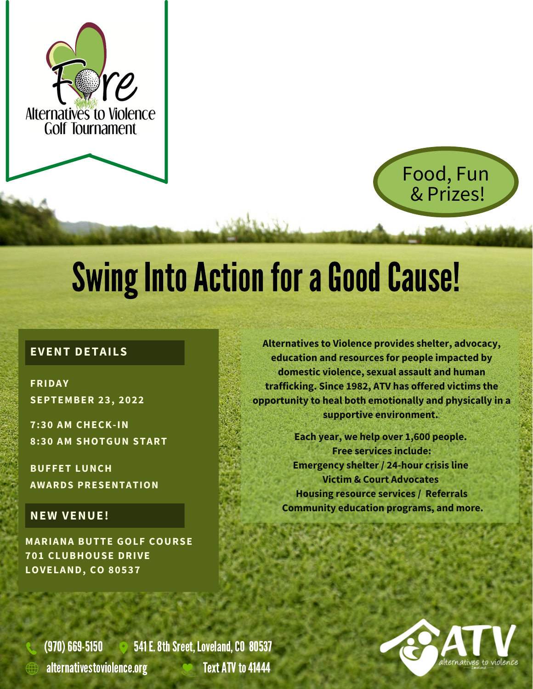



# **Swing Into Action for a Good Cause!**

#### **EVENT DETAILS**

**FRIDAY SEPTEMBER 23, 2022**

**7:30 AM CHECK-IN 8:30 AM SHOTGUN START**

**BUFFET LUNCH AWARDS PRESENTATION**

#### **NEW VENUE!**

**MARIANA BUTTE GOLF COURSE 701 CLUBHOUSE DRIVE LOVELAND, CO 80537**

**Alternatives to Violence provides shelter, advocacy, education and resources for people impacted by domestic violence, sexual assault and human trafficking. Since 1982, ATV has offered victims the opportunity to heal both emotionally and physically in a supportive environment.**

**Each year, we help over 1,600 people. Free services include: Emergency shelter / 24-hour crisis line Victim & Court Advocates Housing resource services / Referrals Community education programs, and more.**

(970) 669-5150 6 541 E. 8th Sreet, Loveland, CO 80537 alternativestoviolence.org **Text ATV** to 41444